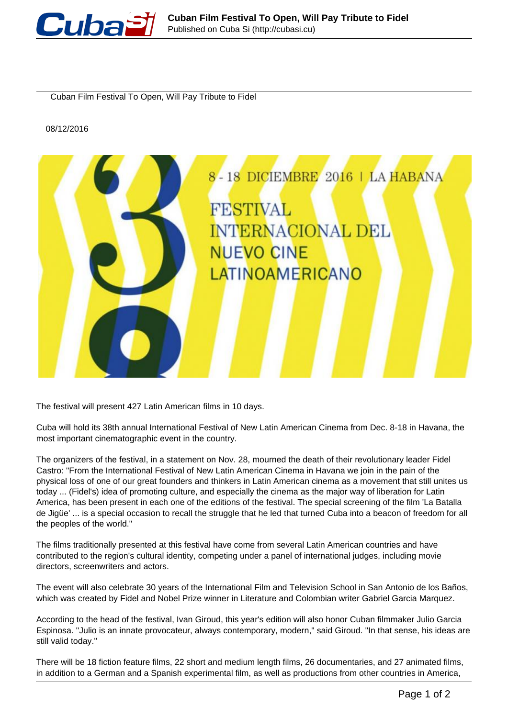

Cuban Film Festival To Open, Will Pay Tribute to Fidel

08/12/2016



The festival will present 427 Latin American films in 10 days.

Cuba will hold its 38th annual International Festival of New Latin American Cinema from Dec. 8-18 in Havana, the most important cinematographic event in the country.

The organizers of the festival, in a statement on Nov. 28, mourned the death of their revolutionary leader Fidel Castro: "From the International Festival of New Latin American Cinema in Havana we join in the pain of the physical loss of one of our great founders and thinkers in Latin American cinema as a movement that still unites us today ... (Fidel's) idea of promoting culture, and especially the cinema as the major way of liberation for Latin America, has been present in each one of the editions of the festival. The special screening of the film 'La Batalla de Jigüe' ... is a special occasion to recall the struggle that he led that turned Cuba into a beacon of freedom for all the peoples of the world."

The films traditionally presented at this festival have come from several Latin American countries and have contributed to the region's cultural identity, competing under a panel of international judges, including movie directors, screenwriters and actors.

The event will also celebrate 30 years of the International Film and Television School in San Antonio de los Baños, which was created by Fidel and Nobel Prize winner in Literature and Colombian writer Gabriel Garcia Marquez.

According to the head of the festival, Ivan Giroud, this year's edition will also honor Cuban filmmaker Julio Garcia Espinosa. "Julio is an innate provocateur, always contemporary, modern," said Giroud. "In that sense, his ideas are still valid today."

There will be 18 fiction feature films, 22 short and medium length films, 26 documentaries, and 27 animated films, in addition to a German and a Spanish experimental film, as well as productions from other countries in America,